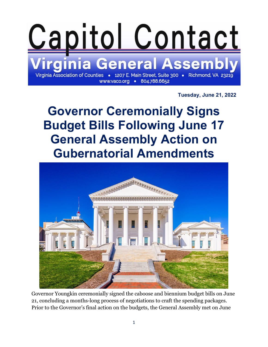

**Tuesday, June 21, 2022**

**Governor Ceremonially Signs Budget Bills Following June 17 General Assembly Action on Gubernatorial Amendments**



Governor Youngkin ceremonially signed the caboose and biennium budget bills on June 21, concluding a months-long process of negotiations to craft the spending packages. Prior to the Governor's final action on the budgets, the General Assembly met on June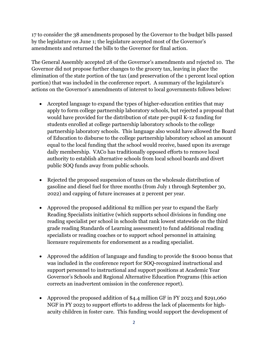17 to consider the 38 amendments proposed by the Governor to the budget bills passed by the legislature on June 1; the legislature accepted most of the Governor's amendments and returned the bills to the Governor for final action.

The General Assembly accepted 28 of the Governor's amendments and rejected 10. The Governor did not propose further changes to the grocery tax, leaving in place the elimination of the state portion of the tax (and preservation of the 1 percent local option portion) that was included in the conference report. A summary of the legislature's actions on the Governor's amendments of interest to local governments follows below:

- Accepted language to expand the types of higher-education entities that may apply to form college partnership laboratory schools, but rejected a proposal that would have provided for the distribution of state per-pupil K-12 funding for students enrolled at college partnership laboratory schools to the college partnership laboratory schools. This language also would have allowed the Board of Education to disburse to the college partnership laboratory school an amount equal to the local funding that the school would receive, based upon its average daily membership. VACo has traditionally opposed efforts to remove local authority to establish alternative schools from local school boards and divert public SOQ funds away from public schools.
- Rejected the proposed suspension of taxes on the wholesale distribution of gasoline and diesel fuel for three months (from July 1 through September 30, 2022) and capping of future increases at 2 percent per year.
- Approved the proposed additional \$2 million per year to expand the Early Reading Specialists initiative (which supports school divisions in funding one reading specialist per school in schools that rank lowest statewide on the third grade reading Standards of Learning assessment) to fund additional reading specialists or reading coaches or to support school personnel in attaining licensure requirements for endorsement as a reading specialist.
- Approved the addition of language and funding to provide the \$1000 bonus that was included in the conference report for SOQ-recognized instructional and support personnel to instructional and support positions at Academic Year Governor's Schools and Regional Alternative Education Programs (this action corrects an inadvertent omission in the conference report).
- Approved the proposed addition of \$4.4 million GF in FY 2023 and \$291,060 NGF in FY 2023 to support efforts to address the lack of placements for highacuity children in foster care. This funding would support the development of